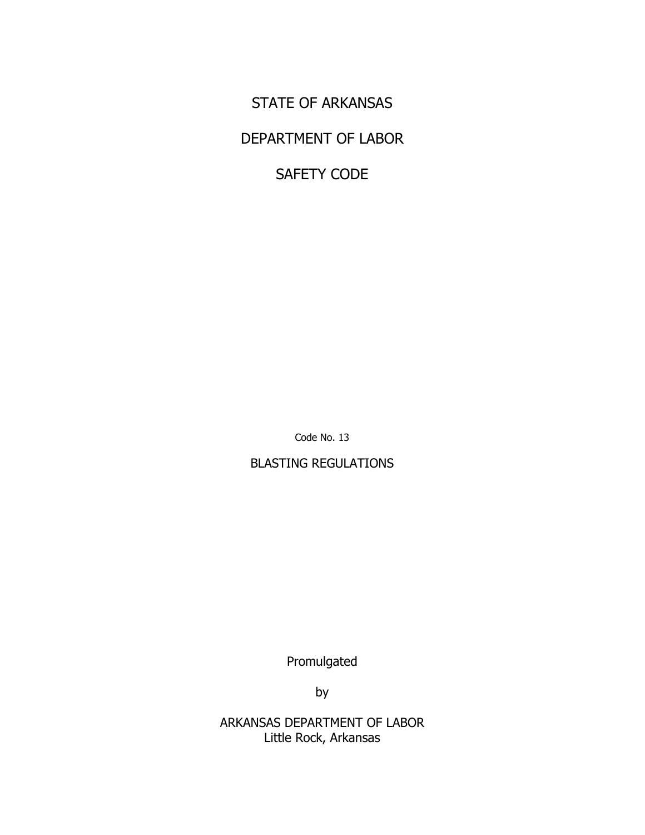STATE OF ARKANSAS

DEPARTMENT OF LABOR

SAFETY CODE

Code No. 13

BLASTING REGULATIONS

Promulgated

by

ARKANSAS DEPARTMENT OF LABOR Little Rock, Arkansas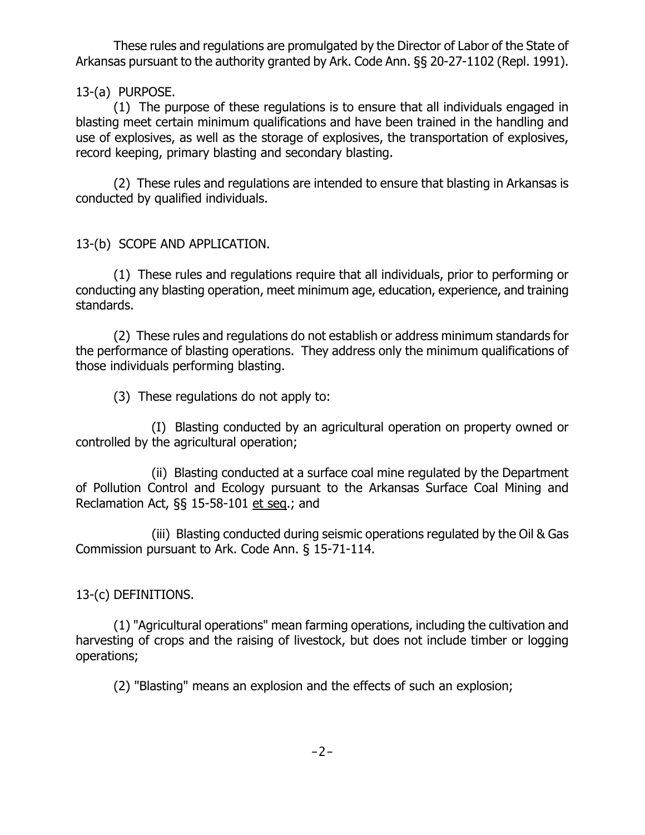These rules and regulations are promulgated by the Director of Labor of the State of Arkansas pursuant to the authority granted by Ark. Code Ann. §§ 20-27-1102 (Repl. 1991).

13-(a) PURPOSE.

(1) The purpose of these regulations is to ensure that all individuals engaged in blasting meet certain minimum qualifications and have been trained in the handling and use of explosives, as well as the storage of explosives, the transportation of explosives, record keeping, primary blasting and secondary blasting.

(2) These rules and regulations are intended to ensure that blasting in Arkansas is conducted by qualified individuals.

13-(b) SCOPE AND APPLICATION.

(1) These rules and regulations require that all individuals, prior to performing or conducting any blasting operation, meet minimum age, education, experience, and training standards.

(2) These rules and regulations do not establish or address minimum standards for the performance of blasting operations. They address only the minimum qualifications of those individuals performing blasting.

(3) These regulations do not apply to:

(I) Blasting conducted by an agricultural operation on property owned or controlled by the agricultural operation;

(ii) Blasting conducted at a surface coal mine regulated by the Department of Pollution Control and Ecology pursuant to the Arkansas Surface Coal Mining and Reclamation Act, §§ 15-58-101 et seq.; and

 (iii) Blasting conducted during seismic operations regulated by the Oil & Gas Commission pursuant to Ark. Code Ann. § 15-71-114.

13-(c) DEFINITIONS.

(1) "Agricultural operations" mean farming operations, including the cultivation and harvesting of crops and the raising of livestock, but does not include timber or logging operations;

(2) "Blasting" means an explosion and the effects of such an explosion;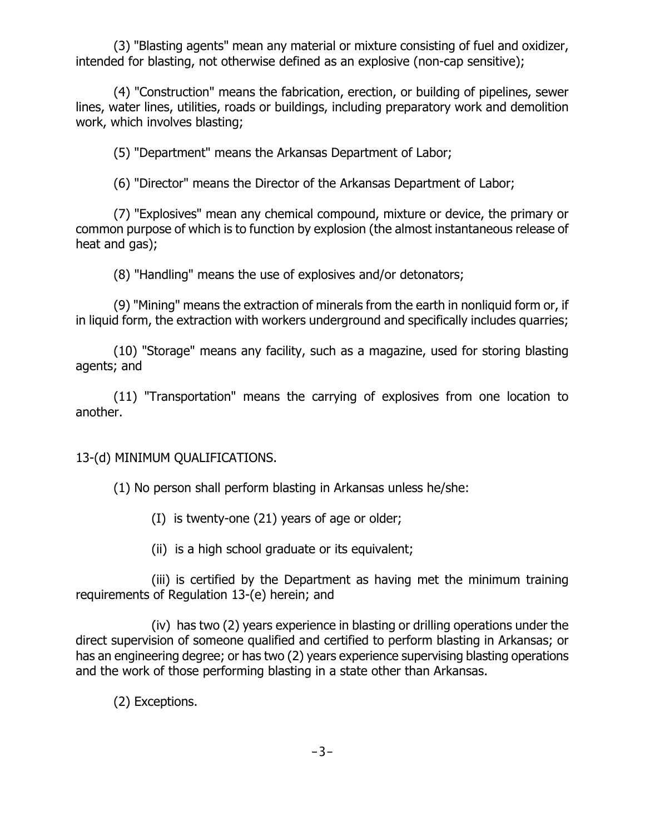(3) "Blasting agents" mean any material or mixture consisting of fuel and oxidizer, intended for blasting, not otherwise defined as an explosive (non-cap sensitive);

(4) "Construction" means the fabrication, erection, or building of pipelines, sewer lines, water lines, utilities, roads or buildings, including preparatory work and demolition work, which involves blasting;

(5) "Department" means the Arkansas Department of Labor;

(6) "Director" means the Director of the Arkansas Department of Labor;

(7) "Explosives" mean any chemical compound, mixture or device, the primary or common purpose of which is to function by explosion (the almost instantaneous release of heat and gas);

(8) "Handling" means the use of explosives and/or detonators;

(9) "Mining" means the extraction of minerals from the earth in nonliquid form or, if in liquid form, the extraction with workers underground and specifically includes quarries;

(10) "Storage" means any facility, such as a magazine, used for storing blasting agents; and

(11) "Transportation" means the carrying of explosives from one location to another.

## 13-(d) MINIMUM QUALIFICATIONS.

(1) No person shall perform blasting in Arkansas unless he/she:

- (I) is twenty-one (21) years of age or older;
- (ii) is a high school graduate or its equivalent;

(iii) is certified by the Department as having met the minimum training requirements of Regulation 13-(e) herein; and

(iv) has two (2) years experience in blasting or drilling operations under the direct supervision of someone qualified and certified to perform blasting in Arkansas; or has an engineering degree; or has two (2) years experience supervising blasting operations and the work of those performing blasting in a state other than Arkansas.

(2) Exceptions.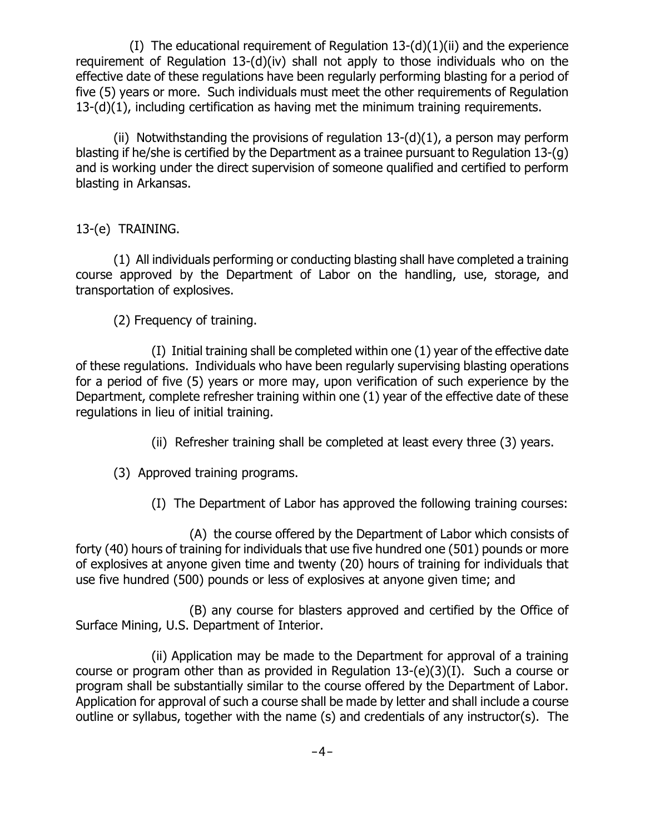(I) The educational requirement of Regulation  $13-(d)(1)(ii)$  and the experience requirement of Regulation 13-(d)(iv) shall not apply to those individuals who on the effective date of these regulations have been regularly performing blasting for a period of five (5) years or more. Such individuals must meet the other requirements of Regulation 13-(d)(1), including certification as having met the minimum training requirements.

(ii) Notwithstanding the provisions of regulation  $13-(d)(1)$ , a person may perform blasting if he/she is certified by the Department as a trainee pursuant to Regulation 13-(g) and is working under the direct supervision of someone qualified and certified to perform blasting in Arkansas.

13-(e) TRAINING.

(1) All individuals performing or conducting blasting shall have completed a training course approved by the Department of Labor on the handling, use, storage, and transportation of explosives.

(2) Frequency of training.

(I) Initial training shall be completed within one (1) year of the effective date of these regulations. Individuals who have been regularly supervising blasting operations for a period of five (5) years or more may, upon verification of such experience by the Department, complete refresher training within one (1) year of the effective date of these regulations in lieu of initial training.

- (ii) Refresher training shall be completed at least every three (3) years.
- (3) Approved training programs.
	- (I) The Department of Labor has approved the following training courses:

 (A) the course offered by the Department of Labor which consists of forty (40) hours of training for individuals that use five hundred one (501) pounds or more of explosives at anyone given time and twenty (20) hours of training for individuals that use five hundred (500) pounds or less of explosives at anyone given time; and

(B) any course for blasters approved and certified by the Office of Surface Mining, U.S. Department of Interior.

(ii) Application may be made to the Department for approval of a training course or program other than as provided in Regulation 13-(e)(3)(I). Such a course or program shall be substantially similar to the course offered by the Department of Labor. Application for approval of such a course shall be made by letter and shall include a course outline or syllabus, together with the name (s) and credentials of any instructor(s). The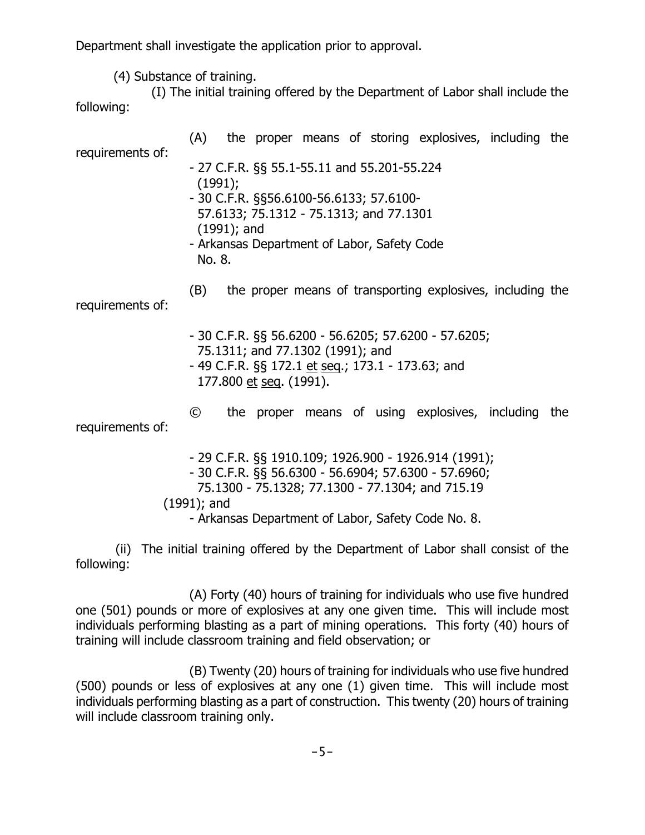Department shall investigate the application prior to approval.

(4) Substance of training.

(I) The initial training offered by the Department of Labor shall include the following:

| requirements of: | (A)                                                                                                                                                                                                                        |  |  |  |  |  | the proper means of storing explosives, including the      |  |  |
|------------------|----------------------------------------------------------------------------------------------------------------------------------------------------------------------------------------------------------------------------|--|--|--|--|--|------------------------------------------------------------|--|--|
|                  | $-$ 27 C.F.R. §§ 55.1-55.11 and 55.201-55.224<br>(1991);<br>$-30$ C.F.R. §§56.6100-56.6133; 57.6100-<br>57.6133; 75.1312 - 75.1313; and 77.1301<br>$(1991)$ ; and<br>- Arkansas Department of Labor, Safety Code<br>No. 8. |  |  |  |  |  |                                                            |  |  |
| requirements of: | (B)                                                                                                                                                                                                                        |  |  |  |  |  | the proper means of transporting explosives, including the |  |  |
|                  | - 30 C.F.R. §§ 56.6200 - 56.6205; 57.6200 - 57.6205;<br>75.1311; and 77.1302 (1991); and<br>- 49 C.F.R. §§ 172.1 et seq.; 173.1 - 173.63; and<br>177.800 et seq. (1991).                                                   |  |  |  |  |  |                                                            |  |  |

© the proper means of using explosives, including the requirements of:

> - 29 C.F.R. §§ 1910.109; 1926.900 - 1926.914 (1991); - 30 C.F.R. §§ 56.6300 - 56.6904; 57.6300 - 57.6960; 75.1300 - 75.1328; 77.1300 - 77.1304; and 715.19 (1991); and - Arkansas Department of Labor, Safety Code No. 8.

 (ii) The initial training offered by the Department of Labor shall consist of the following:

(A) Forty (40) hours of training for individuals who use five hundred one (501) pounds or more of explosives at any one given time. This will include most individuals performing blasting as a part of mining operations. This forty (40) hours of training will include classroom training and field observation; or

(B) Twenty (20) hours of training for individuals who use five hundred (500) pounds or less of explosives at any one (1) given time. This will include most individuals performing blasting as a part of construction. This twenty (20) hours of training will include classroom training only.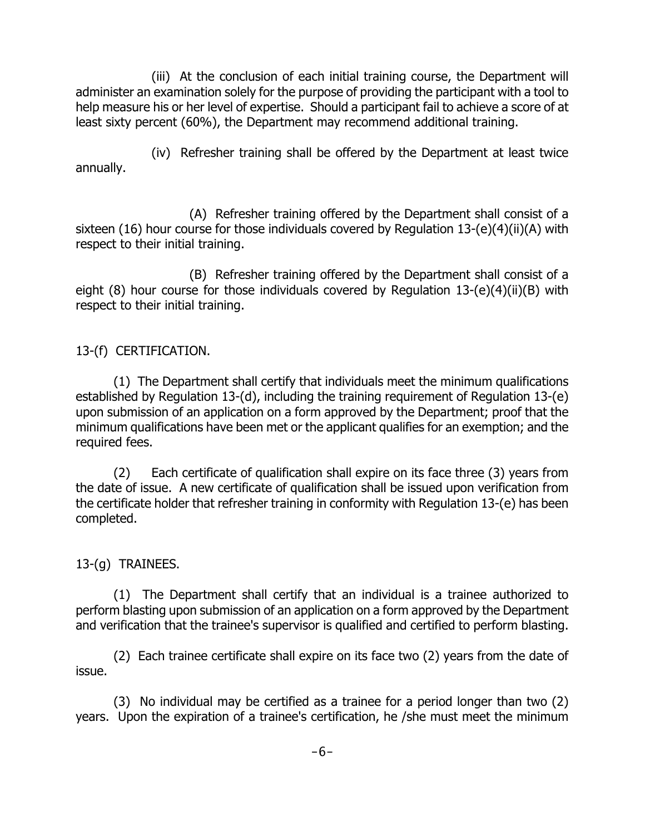(iii) At the conclusion of each initial training course, the Department will administer an examination solely for the purpose of providing the participant with a tool to help measure his or her level of expertise. Should a participant fail to achieve a score of at least sixty percent (60%), the Department may recommend additional training.

(iv) Refresher training shall be offered by the Department at least twice annually.

(A) Refresher training offered by the Department shall consist of a sixteen (16) hour course for those individuals covered by Regulation 13-(e)(4)(ii)(A) with respect to their initial training.

(B) Refresher training offered by the Department shall consist of a eight (8) hour course for those individuals covered by Regulation 13-(e)(4)(ii)(B) with respect to their initial training.

13-(f) CERTIFICATION.

(1) The Department shall certify that individuals meet the minimum qualifications established by Regulation 13-(d), including the training requirement of Regulation 13-(e) upon submission of an application on a form approved by the Department; proof that the minimum qualifications have been met or the applicant qualifies for an exemption; and the required fees.

(2) Each certificate of qualification shall expire on its face three (3) years from the date of issue. A new certificate of qualification shall be issued upon verification from the certificate holder that refresher training in conformity with Regulation 13-(e) has been completed.

13-(g) TRAINEES.

(1) The Department shall certify that an individual is a trainee authorized to perform blasting upon submission of an application on a form approved by the Department and verification that the trainee's supervisor is qualified and certified to perform blasting.

(2) Each trainee certificate shall expire on its face two (2) years from the date of issue.

(3) No individual may be certified as a trainee for a period longer than two (2) years. Upon the expiration of a trainee's certification, he /she must meet the minimum